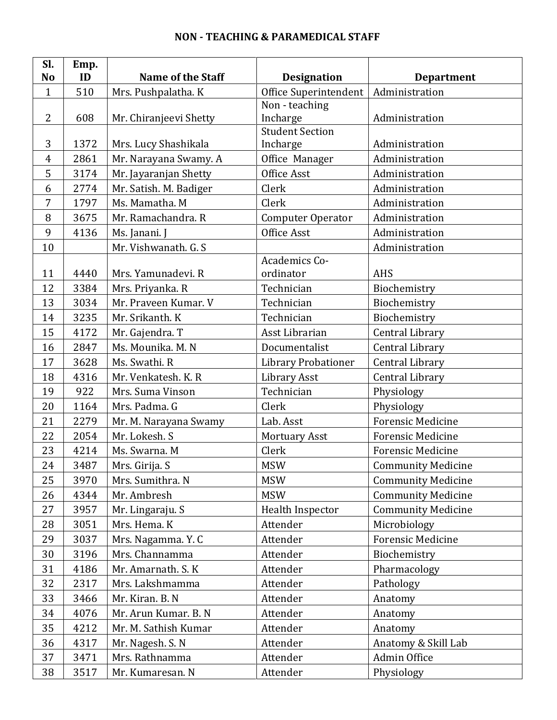| Sl.            | Emp. |                          |                                         |                           |
|----------------|------|--------------------------|-----------------------------------------|---------------------------|
| N <sub>o</sub> | ID   | <b>Name of the Staff</b> | <b>Designation</b>                      | <b>Department</b>         |
| $\mathbf{1}$   | 510  | Mrs. Pushpalatha. K      | Office Superintendent<br>Non - teaching | Administration            |
| $\overline{2}$ | 608  | Mr. Chiranjeevi Shetty   | Incharge                                | Administration            |
|                |      |                          | <b>Student Section</b>                  |                           |
| 3              | 1372 | Mrs. Lucy Shashikala     | Incharge                                | Administration            |
| $\overline{4}$ | 2861 | Mr. Narayana Swamy. A    | Office Manager                          | Administration            |
| 5              | 3174 | Mr. Jayaranjan Shetty    | Office Asst                             | Administration            |
| 6              | 2774 | Mr. Satish. M. Badiger   | Clerk                                   | Administration            |
| $\overline{7}$ | 1797 | Ms. Mamatha. M           | Clerk                                   | Administration            |
| 8              | 3675 | Mr. Ramachandra. R       | Computer Operator                       | Administration            |
| 9              | 4136 | Ms. Janani. J            | Office Asst                             | Administration            |
| 10             |      | Mr. Vishwanath. G. S     |                                         | Administration            |
|                |      |                          | <b>Academics Co-</b>                    |                           |
| 11             | 4440 | Mrs. Yamunadevi. R       | ordinator                               | <b>AHS</b>                |
| 12             | 3384 | Mrs. Priyanka. R         | Technician                              | Biochemistry              |
| 13             | 3034 | Mr. Praveen Kumar. V     | Technician                              | Biochemistry              |
| 14             | 3235 | Mr. Srikanth, K          | Technician                              | Biochemistry              |
| 15             | 4172 | Mr. Gajendra. T          | Asst Librarian                          | Central Library           |
| 16             | 2847 | Ms. Mounika. M. N        | Documentalist                           | Central Library           |
| 17             | 3628 | Ms. Swathi. R            | <b>Library Probationer</b>              | <b>Central Library</b>    |
| 18             | 4316 | Mr. Venkatesh. K. R      | <b>Library Asst</b>                     | Central Library           |
| 19             | 922  | Mrs. Suma Vinson         | Technician                              | Physiology                |
| 20             | 1164 | Mrs. Padma. G            | Clerk                                   | Physiology                |
| 21             | 2279 | Mr. M. Narayana Swamy    | Lab. Asst                               | <b>Forensic Medicine</b>  |
| 22             | 2054 | Mr. Lokesh. S            | <b>Mortuary Asst</b>                    | <b>Forensic Medicine</b>  |
| 23             | 4214 | Ms. Swarna. M            | Clerk                                   | <b>Forensic Medicine</b>  |
| 24             | 3487 | Mrs. Girija. S           | <b>MSW</b>                              | <b>Community Medicine</b> |
| 25             | 3970 | Mrs. Sumithra. N         | <b>MSW</b>                              | <b>Community Medicine</b> |
| 26             | 4344 | Mr. Ambresh              | <b>MSW</b>                              | <b>Community Medicine</b> |
| 27             | 3957 | Mr. Lingaraju. S         | Health Inspector                        | <b>Community Medicine</b> |
| 28             | 3051 | Mrs. Hema. K             | Attender                                | Microbiology              |
| 29             | 3037 | Mrs. Nagamma. Y. C       | Attender                                | <b>Forensic Medicine</b>  |
| 30             | 3196 | Mrs. Channamma           | Attender                                | Biochemistry              |
| 31             | 4186 | Mr. Amarnath. S. K       | Attender                                | Pharmacology              |
| 32             | 2317 | Mrs. Lakshmamma          | Attender                                | Pathology                 |
| 33             | 3466 | Mr. Kiran. B. N          | Attender                                | Anatomy                   |
| 34             | 4076 | Mr. Arun Kumar. B. N     | Attender                                | Anatomy                   |
| 35             | 4212 | Mr. M. Sathish Kumar     | Attender                                | Anatomy                   |
| 36             | 4317 | Mr. Nagesh. S. N         | Attender                                | Anatomy & Skill Lab       |
| 37             | 3471 | Mrs. Rathnamma           | Attender                                | Admin Office              |
| 38             | 3517 | Mr. Kumaresan. N         | Attender                                | Physiology                |

## **NON - TEACHING & PARAMEDICAL STAFF**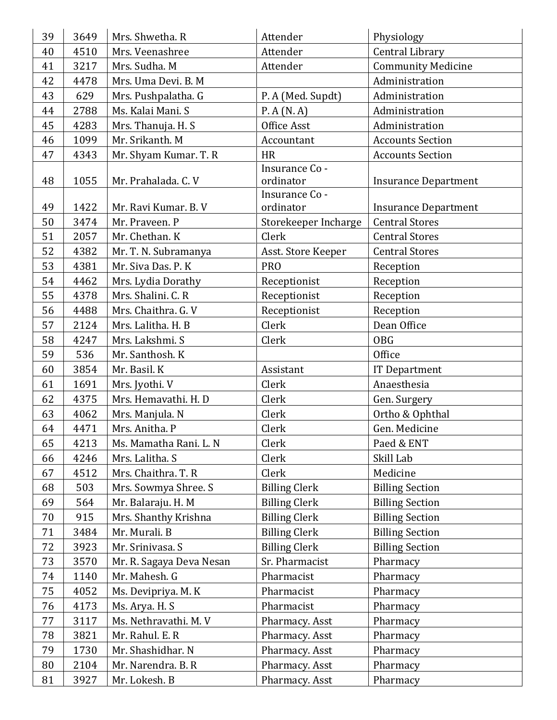| 39 | 3649 | Mrs. Shwetha. R          | Attender             | Physiology                                     |
|----|------|--------------------------|----------------------|------------------------------------------------|
| 40 | 4510 | Mrs. Veenashree          | Attender             | <b>Central Library</b>                         |
| 41 | 3217 | Mrs. Sudha. M            | Attender             | <b>Community Medicine</b>                      |
| 42 | 4478 | Mrs. Uma Devi. B. M      |                      | Administration                                 |
| 43 | 629  | Mrs. Pushpalatha. G      | P. A (Med. Supdt)    | Administration                                 |
| 44 | 2788 | Ms. Kalai Mani. S        | P. A (N. A)          | Administration                                 |
| 45 | 4283 | Mrs. Thanuja. H. S       | Office Asst          | Administration                                 |
| 46 | 1099 | Mr. Srikanth. M          | Accountant           | <b>Accounts Section</b>                        |
| 47 | 4343 | Mr. Shyam Kumar. T. R    | <b>HR</b>            | <b>Accounts Section</b>                        |
|    |      |                          | Insurance Co -       |                                                |
| 48 | 1055 | Mr. Prahalada. C. V      | ordinator            | <b>Insurance Department</b>                    |
|    |      |                          | Insurance Co -       |                                                |
| 49 | 1422 | Mr. Ravi Kumar. B. V     | ordinator            | <b>Insurance Department</b>                    |
| 50 | 3474 | Mr. Praveen. P           | Storekeeper Incharge | <b>Central Stores</b>                          |
| 51 | 2057 | Mr. Chethan. K           | Clerk                | <b>Central Stores</b><br><b>Central Stores</b> |
| 52 | 4382 | Mr. T. N. Subramanya     | Asst. Store Keeper   |                                                |
| 53 | 4381 | Mr. Siva Das. P. K       | <b>PRO</b>           | Reception                                      |
| 54 | 4462 | Mrs. Lydia Dorathy       | Receptionist         | Reception                                      |
| 55 | 4378 | Mrs. Shalini. C. R       | Receptionist         | Reception                                      |
| 56 | 4488 | Mrs. Chaithra. G. V      | Receptionist         | Reception                                      |
| 57 | 2124 | Mrs. Lalitha. H. B       | Clerk                | Dean Office                                    |
| 58 | 4247 | Mrs. Lakshmi. S          | Clerk                | <b>OBG</b>                                     |
| 59 | 536  | Mr. Santhosh. K          |                      | Office                                         |
| 60 | 3854 | Mr. Basil. K             | Assistant            | IT Department                                  |
| 61 | 1691 | Mrs. Jyothi. V           | Clerk                | Anaesthesia                                    |
| 62 | 4375 | Mrs. Hemavathi. H. D     | Clerk                | Gen. Surgery                                   |
| 63 | 4062 | Mrs. Manjula. N          | Clerk                | Ortho & Ophthal                                |
| 64 | 4471 | Mrs. Anitha. P           | Clerk                | Gen. Medicine                                  |
| 65 | 4213 | Ms. Mamatha Rani. L. N   | Clerk                | Paed & ENT                                     |
| 66 | 4246 | Mrs. Lalitha. S          | Clerk                | Skill Lab                                      |
| 67 | 4512 | Mrs. Chaithra. T. R      | Clerk                | Medicine                                       |
| 68 | 503  | Mrs. Sowmya Shree. S     | <b>Billing Clerk</b> | <b>Billing Section</b>                         |
| 69 | 564  | Mr. Balaraju. H. M       | <b>Billing Clerk</b> | <b>Billing Section</b>                         |
| 70 | 915  | Mrs. Shanthy Krishna     | <b>Billing Clerk</b> | <b>Billing Section</b>                         |
| 71 | 3484 | Mr. Murali. B            | <b>Billing Clerk</b> | <b>Billing Section</b>                         |
| 72 | 3923 | Mr. Srinivasa. S         | <b>Billing Clerk</b> | <b>Billing Section</b>                         |
| 73 | 3570 | Mr. R. Sagaya Deva Nesan | Sr. Pharmacist       | Pharmacy                                       |
| 74 | 1140 | Mr. Mahesh. G            | Pharmacist           | Pharmacy                                       |
| 75 | 4052 | Ms. Devipriya. M. K      | Pharmacist           | Pharmacy                                       |
| 76 | 4173 | Ms. Arya. H. S           | Pharmacist           | Pharmacy                                       |
| 77 | 3117 | Ms. Nethravathi. M. V    | Pharmacy. Asst       | Pharmacy                                       |
| 78 | 3821 | Mr. Rahul. E. R          | Pharmacy. Asst       | Pharmacy                                       |
| 79 | 1730 | Mr. Shashidhar. N        | Pharmacy. Asst       | Pharmacy                                       |
| 80 | 2104 | Mr. Narendra. B. R       | Pharmacy. Asst       | Pharmacy                                       |
| 81 | 3927 | Mr. Lokesh. B            | Pharmacy. Asst       | Pharmacy                                       |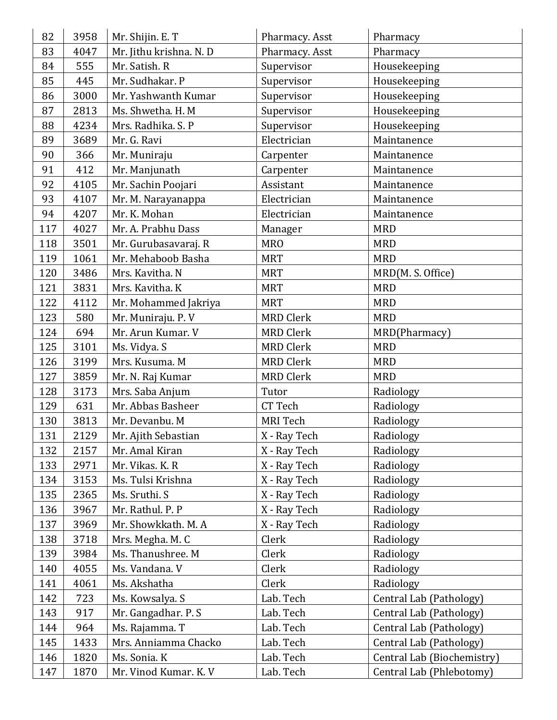| 82  | 3958 | Mr. Shijin. E. T        | Pharmacy. Asst   | Pharmacy                   |
|-----|------|-------------------------|------------------|----------------------------|
| 83  | 4047 | Mr. Jithu krishna. N. D | Pharmacy. Asst   | Pharmacy                   |
| 84  | 555  | Mr. Satish. R           | Supervisor       | Housekeeping               |
| 85  | 445  | Mr. Sudhakar. P         | Supervisor       | Housekeeping               |
| 86  | 3000 | Mr. Yashwanth Kumar     | Supervisor       | Housekeeping               |
| 87  | 2813 | Ms. Shwetha. H. M       | Supervisor       | Housekeeping               |
| 88  | 4234 | Mrs. Radhika. S. P      | Supervisor       | Housekeeping               |
| 89  | 3689 | Mr. G. Ravi             | Electrician      | Maintanence                |
| 90  | 366  | Mr. Muniraju            | Carpenter        | Maintanence                |
| 91  | 412  | Mr. Manjunath           | Carpenter        | Maintanence                |
| 92  | 4105 | Mr. Sachin Poojari      | Assistant        | Maintanence                |
| 93  | 4107 | Mr. M. Narayanappa      | Electrician      | Maintanence                |
| 94  | 4207 | Mr. K. Mohan            | Electrician      | Maintanence                |
| 117 | 4027 | Mr. A. Prabhu Dass      | Manager          | <b>MRD</b>                 |
| 118 | 3501 | Mr. Gurubasavaraj. R    | <b>MRO</b>       | <b>MRD</b>                 |
| 119 | 1061 | Mr. Mehaboob Basha      | <b>MRT</b>       | <b>MRD</b>                 |
| 120 | 3486 | Mrs. Kavitha. N         | <b>MRT</b>       | MRD(M. S. Office)          |
| 121 | 3831 | Mrs. Kavitha. K         | <b>MRT</b>       | <b>MRD</b>                 |
| 122 | 4112 | Mr. Mohammed Jakriya    | <b>MRT</b>       | <b>MRD</b>                 |
| 123 | 580  | Mr. Muniraju. P. V      | <b>MRD Clerk</b> | <b>MRD</b>                 |
| 124 | 694  | Mr. Arun Kumar. V       | <b>MRD Clerk</b> | MRD(Pharmacy)              |
| 125 | 3101 | Ms. Vidya. S            | <b>MRD Clerk</b> | <b>MRD</b>                 |
| 126 | 3199 | Mrs. Kusuma. M          | <b>MRD Clerk</b> | <b>MRD</b>                 |
| 127 | 3859 | Mr. N. Raj Kumar        | <b>MRD Clerk</b> | <b>MRD</b>                 |
| 128 | 3173 | Mrs. Saba Anjum         | Tutor            | Radiology                  |
| 129 | 631  | Mr. Abbas Basheer       | CT Tech          | Radiology                  |
| 130 | 3813 | Mr. Devanbu. M          | <b>MRI</b> Tech  | Radiology                  |
| 131 | 2129 | Mr. Ajith Sebastian     | X - Ray Tech     | Radiology                  |
| 132 | 2157 | Mr. Amal Kiran          | X - Ray Tech     | Radiology                  |
| 133 | 2971 | Mr. Vikas. K. R         | X - Ray Tech     | Radiology                  |
| 134 | 3153 | Ms. Tulsi Krishna       | X - Ray Tech     | Radiology                  |
| 135 | 2365 | Ms. Sruthi. S           | X - Ray Tech     | Radiology                  |
| 136 | 3967 | Mr. Rathul. P. P        | X - Ray Tech     | Radiology                  |
| 137 | 3969 | Mr. Showkkath. M. A     | X - Ray Tech     | Radiology                  |
| 138 | 3718 | Mrs. Megha. M. C        | Clerk            | Radiology                  |
| 139 | 3984 | Ms. Thanushree. M       | Clerk            | Radiology                  |
| 140 | 4055 | Ms. Vandana. V          | Clerk            | Radiology                  |
| 141 | 4061 | Ms. Akshatha            | Clerk            | Radiology                  |
| 142 | 723  | Ms. Kowsalya. S         | Lab. Tech        | Central Lab (Pathology)    |
| 143 | 917  | Mr. Gangadhar. P. S     | Lab. Tech        | Central Lab (Pathology)    |
| 144 | 964  | Ms. Rajamma. T          | Lab. Tech        | Central Lab (Pathology)    |
| 145 | 1433 | Mrs. Anniamma Chacko    | Lab. Tech        | Central Lab (Pathology)    |
| 146 | 1820 | Ms. Sonia. K            | Lab. Tech        | Central Lab (Biochemistry) |
| 147 | 1870 | Mr. Vinod Kumar. K. V   | Lab. Tech        | Central Lab (Phlebotomy)   |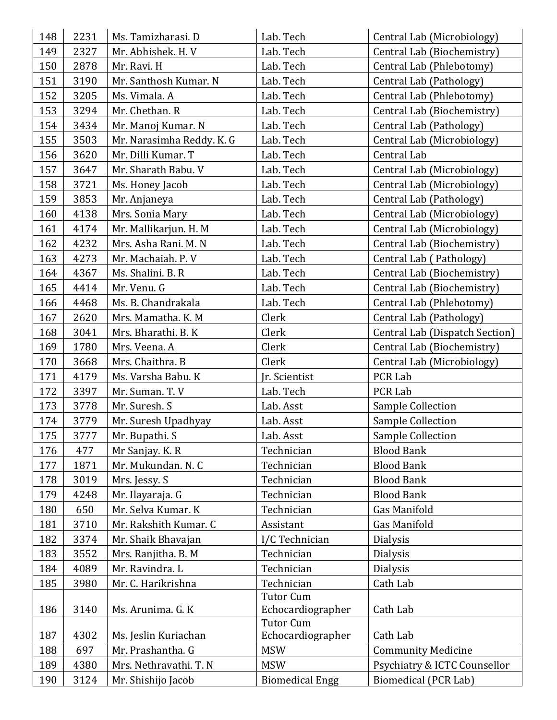| 148 | 2231 | Ms. Tamizharasi. D        | Lab. Tech                       | Central Lab (Microbiology)     |
|-----|------|---------------------------|---------------------------------|--------------------------------|
| 149 | 2327 | Mr. Abhishek. H. V        | Lab. Tech                       | Central Lab (Biochemistry)     |
| 150 | 2878 | Mr. Ravi. H               | Lab. Tech                       | Central Lab (Phlebotomy)       |
| 151 | 3190 | Mr. Santhosh Kumar. N     | Lab. Tech                       | Central Lab (Pathology)        |
| 152 | 3205 | Ms. Vimala. A             | Lab. Tech                       | Central Lab (Phlebotomy)       |
| 153 | 3294 | Mr. Chethan. R            | Lab. Tech                       | Central Lab (Biochemistry)     |
| 154 | 3434 | Mr. Manoj Kumar. N        | Lab. Tech                       | Central Lab (Pathology)        |
| 155 | 3503 | Mr. Narasimha Reddy. K. G | Lab. Tech                       | Central Lab (Microbiology)     |
| 156 | 3620 | Mr. Dilli Kumar. T        | Lab. Tech                       | Central Lab                    |
| 157 | 3647 | Mr. Sharath Babu. V       | Lab. Tech                       | Central Lab (Microbiology)     |
| 158 | 3721 | Ms. Honey Jacob           | Lab. Tech                       | Central Lab (Microbiology)     |
| 159 | 3853 | Mr. Anjaneya              | Lab. Tech                       | Central Lab (Pathology)        |
| 160 | 4138 | Mrs. Sonia Mary           | Lab. Tech                       | Central Lab (Microbiology)     |
| 161 | 4174 | Mr. Mallikarjun. H. M     | Lab. Tech                       | Central Lab (Microbiology)     |
| 162 | 4232 | Mrs. Asha Rani. M. N      | Lab. Tech                       | Central Lab (Biochemistry)     |
| 163 | 4273 | Mr. Machaiah. P. V        | Lab. Tech                       | Central Lab (Pathology)        |
| 164 | 4367 | Ms. Shalini. B. R         | Lab. Tech                       | Central Lab (Biochemistry)     |
| 165 | 4414 | Mr. Venu. G               | Lab. Tech                       | Central Lab (Biochemistry)     |
| 166 | 4468 | Ms. B. Chandrakala        | Lab. Tech                       | Central Lab (Phlebotomy)       |
| 167 | 2620 | Mrs. Mamatha. K. M        | Clerk                           | Central Lab (Pathology)        |
| 168 | 3041 | Mrs. Bharathi. B. K       | Clerk                           | Central Lab (Dispatch Section) |
| 169 | 1780 | Mrs. Veena. A             | Clerk                           | Central Lab (Biochemistry)     |
| 170 | 3668 | Mrs. Chaithra. B          | Clerk                           | Central Lab (Microbiology)     |
| 171 | 4179 | Ms. Varsha Babu. K        | Jr. Scientist                   | PCR Lab                        |
| 172 | 3397 | Mr. Suman. T. V           | Lab. Tech                       | PCR Lab                        |
| 173 | 3778 | Mr. Suresh. S             | Lab. Asst                       | Sample Collection              |
| 174 | 3779 | Mr. Suresh Upadhyay       | Lab. Asst                       | <b>Sample Collection</b>       |
| 175 | 3777 | Mr. Bupathi. S            | Lab. Asst                       | <b>Sample Collection</b>       |
| 176 | 477  | Mr Sanjay. K. R           | Technician                      | <b>Blood Bank</b>              |
| 177 | 1871 | Mr. Mukundan. N. C        | Technician                      | <b>Blood Bank</b>              |
| 178 | 3019 | Mrs. Jessy. S             | Technician                      | <b>Blood Bank</b>              |
| 179 | 4248 | Mr. Ilayaraja. G          | Technician                      | <b>Blood Bank</b>              |
| 180 | 650  | Mr. Selva Kumar. K        | Technician                      | Gas Manifold                   |
| 181 | 3710 | Mr. Rakshith Kumar. C     | Assistant                       | Gas Manifold                   |
| 182 | 3374 | Mr. Shaik Bhavajan        | I/C Technician                  | <b>Dialysis</b>                |
| 183 | 3552 | Mrs. Ranjitha. B. M       | Technician                      | <b>Dialysis</b>                |
| 184 | 4089 | Mr. Ravindra. L           | Technician                      | <b>Dialysis</b>                |
| 185 | 3980 | Mr. C. Harikrishna        | Technician                      | Cath Lab                       |
|     |      |                           | <b>Tutor Cum</b>                |                                |
| 186 | 3140 | Ms. Arunima. G. K         | Echocardiographer               | Cath Lab                       |
| 187 | 4302 | Ms. Jeslin Kuriachan      | <b>Tutor Cum</b>                | Cath Lab                       |
| 188 | 697  | Mr. Prashantha. G         | Echocardiographer<br><b>MSW</b> | <b>Community Medicine</b>      |
|     |      |                           |                                 |                                |
| 189 | 4380 | Mrs. Nethravathi. T. N    | <b>MSW</b>                      | Psychiatry & ICTC Counsellor   |
| 190 | 3124 | Mr. Shishijo Jacob        | <b>Biomedical Engg</b>          | Biomedical (PCR Lab)           |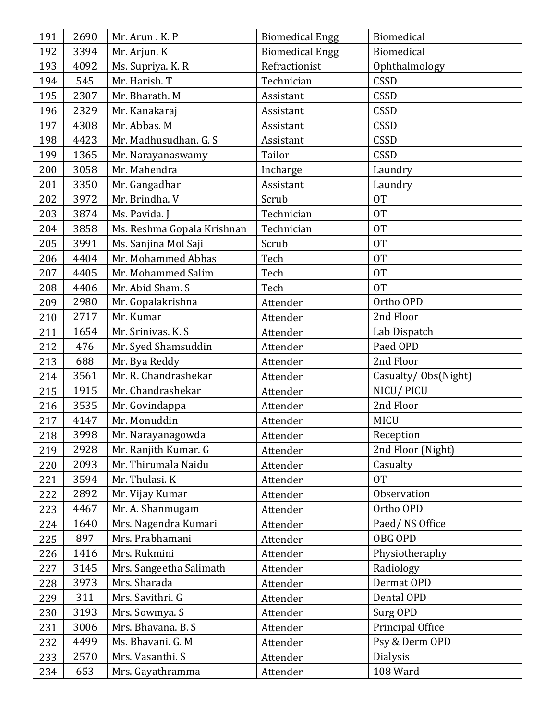| 191 | 2690 | Mr. Arun. K. P             | <b>Biomedical Engg</b> | Biomedical          |
|-----|------|----------------------------|------------------------|---------------------|
| 192 | 3394 | Mr. Arjun. K               | <b>Biomedical Engg</b> | Biomedical          |
| 193 | 4092 | Ms. Supriya. K. R          | Refractionist          | Ophthalmology       |
| 194 | 545  | Mr. Harish. T              | Technician             | CSSD                |
| 195 | 2307 | Mr. Bharath. M             | Assistant              | <b>CSSD</b>         |
| 196 | 2329 | Mr. Kanakaraj              | Assistant              | <b>CSSD</b>         |
| 197 | 4308 | Mr. Abbas. M               | Assistant              | <b>CSSD</b>         |
| 198 | 4423 | Mr. Madhusudhan. G. S      | Assistant              | <b>CSSD</b>         |
| 199 | 1365 | Mr. Narayanaswamy          | Tailor                 | <b>CSSD</b>         |
| 200 | 3058 | Mr. Mahendra               | Incharge               | Laundry             |
| 201 | 3350 | Mr. Gangadhar              | Assistant              | Laundry             |
| 202 | 3972 | Mr. Brindha. V             | Scrub                  | <b>OT</b>           |
| 203 | 3874 | Ms. Pavida. J              | Technician             | <b>OT</b>           |
| 204 | 3858 | Ms. Reshma Gopala Krishnan | Technician             | <b>OT</b>           |
| 205 | 3991 | Ms. Sanjina Mol Saji       | Scrub                  | <b>OT</b>           |
| 206 | 4404 | Mr. Mohammed Abbas         | Tech                   | <b>OT</b>           |
| 207 | 4405 | Mr. Mohammed Salim         | Tech                   | <b>OT</b>           |
| 208 | 4406 | Mr. Abid Sham. S           | Tech                   | <b>OT</b>           |
| 209 | 2980 | Mr. Gopalakrishna          | Attender               | Ortho OPD           |
| 210 | 2717 | Mr. Kumar                  | Attender               | 2nd Floor           |
| 211 | 1654 | Mr. Srinivas. K. S.        | Attender               | Lab Dispatch        |
| 212 | 476  | Mr. Syed Shamsuddin        | Attender               | Paed OPD            |
| 213 | 688  | Mr. Bya Reddy              | Attender               | 2nd Floor           |
| 214 | 3561 | Mr. R. Chandrashekar       | Attender               | Casualty/Obs(Night) |
| 215 | 1915 | Mr. Chandrashekar          | Attender               | NICU/PICU           |
| 216 | 3535 | Mr. Govindappa             | Attender               | 2nd Floor           |
| 217 | 4147 | Mr. Monuddin               | Attender               | <b>MICU</b>         |
| 218 | 3998 | Mr. Narayanagowda          | Attender               | Reception           |
| 219 | 2928 | Mr. Ranjith Kumar. G       | Attender               | 2nd Floor (Night)   |
| 220 | 2093 | Mr. Thirumala Naidu        | Attender               | Casualty            |
| 221 | 3594 | Mr. Thulasi. K             | Attender               | <b>OT</b>           |
| 222 | 2892 | Mr. Vijay Kumar            | Attender               | Observation         |
| 223 | 4467 | Mr. A. Shanmugam           | Attender               | Ortho OPD           |
| 224 | 1640 | Mrs. Nagendra Kumari       | Attender               | Paed/NS Office      |
| 225 | 897  | Mrs. Prabhamani            | Attender               | OBG OPD             |
| 226 | 1416 | Mrs. Rukmini               | Attender               | Physiotheraphy      |
| 227 | 3145 | Mrs. Sangeetha Salimath    | Attender               | Radiology           |
| 228 | 3973 | Mrs. Sharada               | Attender               | Dermat OPD          |
| 229 | 311  | Mrs. Savithri. G           | Attender               | Dental OPD          |
| 230 | 3193 | Mrs. Sowmya. S             | Attender               | Surg OPD            |
| 231 | 3006 | Mrs. Bhavana. B. S         | Attender               | Principal Office    |
| 232 | 4499 | Ms. Bhavani. G. M          | Attender               | Psy & Derm OPD      |
| 233 | 2570 | Mrs. Vasanthi. S           | Attender               | <b>Dialysis</b>     |
| 234 | 653  | Mrs. Gayathramma           | Attender               | 108 Ward            |